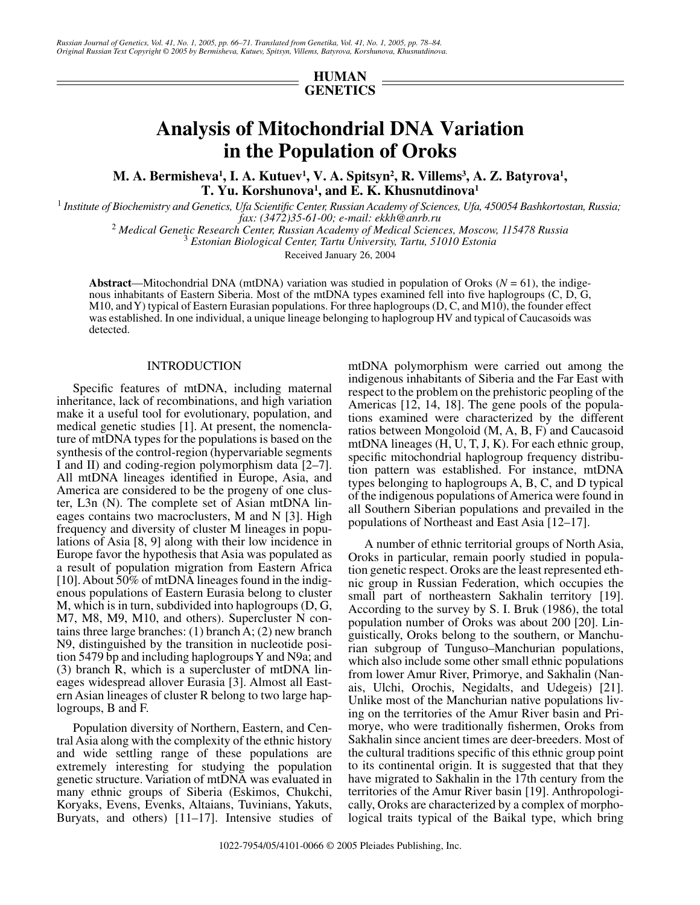# **HUMAN GENETICS**

# **Analysis of Mitochondrial DNA Variation in the Population of Oroks**

M. A. Bermisheva<sup>1</sup>, I. A. Kutuev<sup>1</sup>, V. A. Spitsyn<sup>2</sup>, R. Villems<sup>3</sup>, A. Z. Batyrova<sup>1</sup>, **T. Yu. Korshunova1 , and E. K. Khusnutdinova1**

1  *Institute of Biochemistry and Genetics, Ufa Scientific Center, Russian Academy of Sciences, Ufa, 450054 Bashkortostan, Russia;* 

*fax: (3472)35-61-00; e-mail: ekkh@anrb.ru* <sup>2</sup>  *Medical Genetic Research Center, Russian Academy of Medical Sciences, Moscow, 115478 Russia* <sup>3</sup>

 *Estonian Biological Center, Tartu University, Tartu, 51010 Estonia*

Received January 26, 2004

**Abstract**—Mitochondrial DNA (mtDNA) variation was studied in population of Oroks ( $N = 61$ ), the indigenous inhabitants of Eastern Siberia. Most of the mtDNA types examined fell into five haplogroups (C, D, G, M10, and Y) typical of Eastern Eurasian populations. For three haplogroups (D, C, and M10), the founder effect was established. In one individual, a unique lineage belonging to haplogroup HV and typical of Caucasoids was detected.

#### INTRODUCTION

Specific features of mtDNA, including maternal inheritance, lack of recombinations, and high variation make it a useful tool for evolutionary, population, and medical genetic studies [1]. At present, the nomenclature of mtDNA types for the populations is based on the synthesis of the control-region (hypervariable segments I and II) and coding-region polymorphism data [2–7]. All mtDNA lineages identified in Europe, Asia, and America are considered to be the progeny of one cluster, L3n (N). The complete set of Asian mtDNA lineages contains two macroclusters, M and N [3]. High frequency and diversity of cluster M lineages in populations of Asia [8, 9] along with their low incidence in Europe favor the hypothesis that Asia was populated as a result of population migration from Eastern Africa [10]. About 50% of mtDNA lineages found in the indigenous populations of Eastern Eurasia belong to cluster M, which is in turn, subdivided into haplogroups (D, G, M7, M8, M9, M10, and others). Supercluster N contains three large branches: (1) branch A; (2) new branch N9, distinguished by the transition in nucleotide position 5479 bp and including haplogroups Y and N9a; and (3) branch R, which is a supercluster of mtDNA lineages widespread allover Eurasia [3]. Almost all Eastern Asian lineages of cluster R belong to two large haplogroups, B and F.

Population diversity of Northern, Eastern, and Central Asia along with the complexity of the ethnic history and wide settling range of these populations are extremely interesting for studying the population genetic structure. Variation of mtDNA was evaluated in many ethnic groups of Siberia (Eskimos, Chukchi, Koryaks, Evens, Evenks, Altaians, Tuvinians, Yakuts, Buryats, and others) [11–17]. Intensive studies of mtDNA polymorphism were carried out among the indigenous inhabitants of Siberia and the Far East with respect to the problem on the prehistoric peopling of the Americas [12, 14, 18]. The gene pools of the populations examined were characterized by the different ratios between Mongoloid (M, A, B, F) and Caucasoid mtDNA lineages (H, U, T, J, K). For each ethnic group, specific mitochondrial haplogroup frequency distribution pattern was established. For instance, mtDNA types belonging to haplogroups A, B, C, and D typical of the indigenous populations of America were found in all Southern Siberian populations and prevailed in the populations of Northeast and East Asia [12–17].

A number of ethnic territorial groups of North Asia, Oroks in particular, remain poorly studied in population genetic respect. Oroks are the least represented ethnic group in Russian Federation, which occupies the small part of northeastern Sakhalin territory [19]. According to the survey by S. I. Bruk (1986), the total population number of Oroks was about 200 [20]. Linguistically, Oroks belong to the southern, or Manchurian subgroup of Tunguso–Manchurian populations, which also include some other small ethnic populations from lower Amur River, Primorye, and Sakhalin (Nanais, Ulchi, Orochis, Negidalts, and Udegeis) [21]. Unlike most of the Manchurian native populations living on the territories of the Amur River basin and Primorye, who were traditionally fishermen, Oroks from Sakhalin since ancient times are deer-breeders. Most of the cultural traditions specific of this ethnic group point to its continental origin. It is suggested that that they have migrated to Sakhalin in the 17th century from the territories of the Amur River basin [19]. Anthropologically, Oroks are characterized by a complex of morphological traits typical of the Baikal type, which bring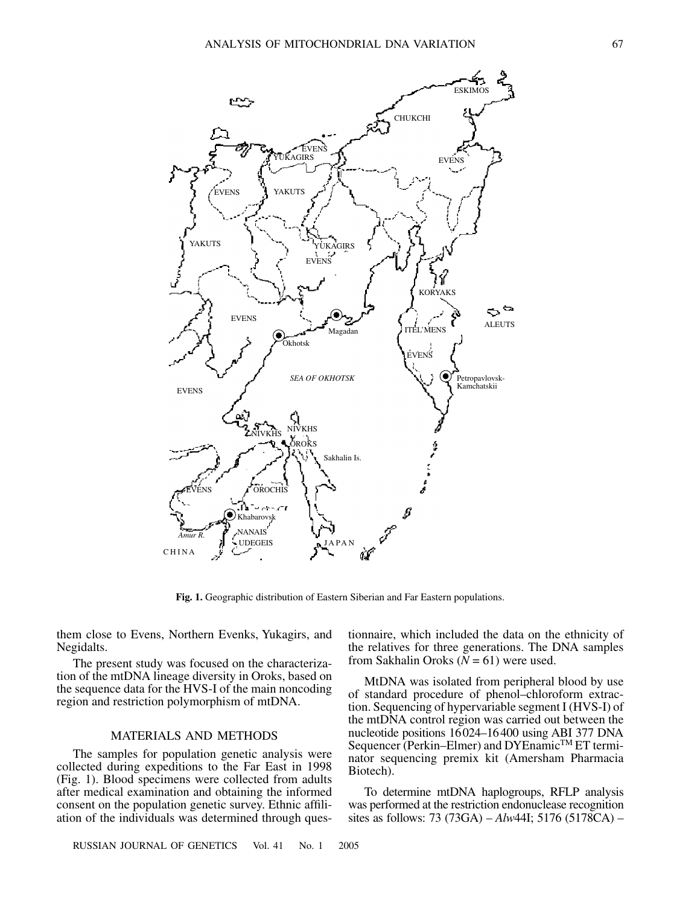

**Fig. 1.** Geographic distribution of Eastern Siberian and Far Eastern populations.

them close to Evens, Northern Evenks, Yukagirs, and Negidalts.

The present study was focused on the characterization of the mtDNA lineage diversity in Oroks, based on the sequence data for the HVS-I of the main noncoding region and restriction polymorphism of mtDNA.

### MATERIALS AND METHODS

The samples for population genetic analysis were collected during expeditions to the Far East in 1998 (Fig. 1). Blood specimens were collected from adults after medical examination and obtaining the informed consent on the population genetic survey. Ethnic affiliation of the individuals was determined through ques-

RUSSIAN JOURNAL OF GENETICS Vol. 41 No. 1 2005

tionnaire, which included the data on the ethnicity of the relatives for three generations. The DNA samples from Sakhalin Oroks  $(N = 61)$  were used.

MtDNA was isolated from peripheral blood by use of standard procedure of phenol–chloroform extraction. Sequencing of hypervariable segment I (HVS-I) of the mtDNA control region was carried out between the nucleotide positions 16024–16400 using ABI 377 DNA Sequencer (Perkin–Elmer) and DYEnamic<sup>™</sup> ET terminator sequencing premix kit (Amersham Pharmacia Biotech).

To determine mtDNA haplogroups, RFLP analysis was performed at the restriction endonuclease recognition sites as follows: 73 (73GA) – *Alw*44I; 5176 (5178CA) –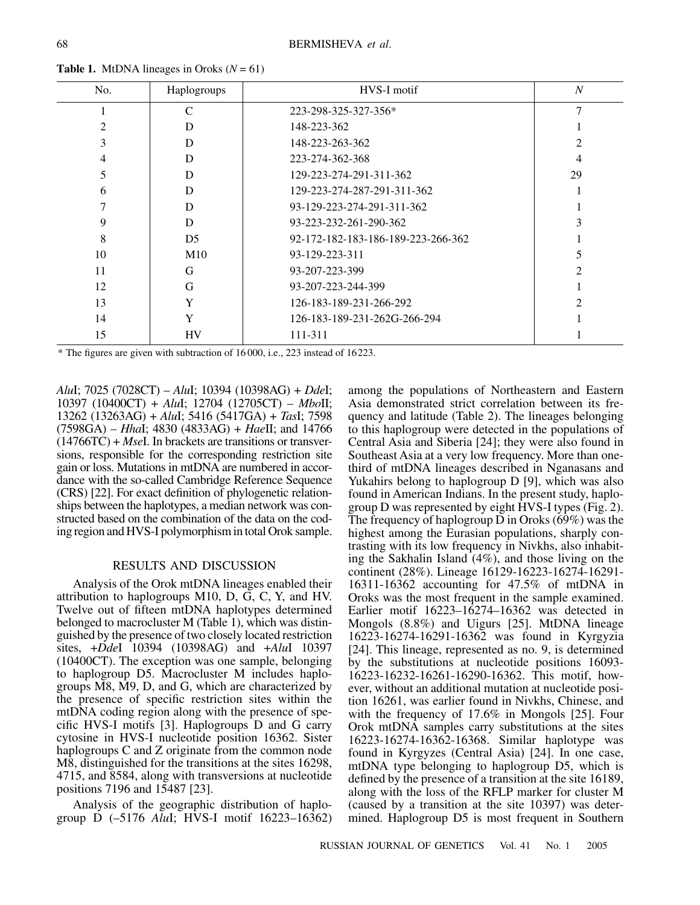| <b>Table 1.</b> MtDNA lineages in Oroks ( $N = 61$ ) |             |  |  |  |  |  |  |
|------------------------------------------------------|-------------|--|--|--|--|--|--|
| No.                                                  | Haplogroups |  |  |  |  |  |  |

| No. | Haplogroups    | HVS-I motif                        | $\overline{N}$ |
|-----|----------------|------------------------------------|----------------|
|     | C              | 223-298-325-327-356*               |                |
|     | D              | 148-223-362                        |                |
|     | D              | 148-223-263-362                    |                |
|     | D              | 223-274-362-368                    | 4              |
|     | D              | 129-223-274-291-311-362            | 29             |
| 6   | D              | 129-223-274-287-291-311-362        |                |
|     | D              | 93-129-223-274-291-311-362         |                |
| 9   | D              | 93-223-232-261-290-362             |                |
| 8   | D <sub>5</sub> | 92-172-182-183-186-189-223-266-362 |                |
| 10  | M10            | 93-129-223-311                     |                |
| 11  | G              | 93-207-223-399                     |                |
| 12  | G              | 93-207-223-244-399                 |                |
| 13  |                | 126-183-189-231-266-292            |                |
| 14  | Y              | 126-183-189-231-262G-266-294       |                |
| 15  | HV             | 111-311                            |                |

\* The figures are given with subtraction of 16 000, i.e., 223 instead of 16223.

*Alu*I; 7025 (7028CT) – *Alu*I; 10394 (10398AG) + *Dde*I; 10397 (10400CT) + *Alu*I; 12704 (12705CT) – *Mbo*II; 13262 (13263AG) + *Alu*I; 5416 (5417GA) + *Tas*I; 7598 (7598GA) – *Hha*I; 4830 (4833AG) + *Hae*II; and 14766 (14766TC) + *Mse*I. In brackets are transitions or transversions, responsible for the corresponding restriction site gain or loss. Mutations in mtDNA are numbered in accordance with the so-called Cambridge Reference Sequence (CRS) [22]. For exact definition of phylogenetic relationships between the haplotypes, a median network was constructed based on the combination of the data on the coding region and HVS-I polymorphism in total Orok sample.

## RESULTS AND DISCUSSION

Analysis of the Orok mtDNA lineages enabled their attribution to haplogroups M10, D, G, C, Y, and HV. Twelve out of fifteen mtDNA haplotypes determined belonged to macrocluster M (Table 1), which was distinguished by the presence of two closely located restriction sites, +*Dde*I 10394 (10398AG) and +*Alu*I 10397 (10400CT). The exception was one sample, belonging to haplogroup D5. Macrocluster M includes haplogroups M8, M9, D, and G, which are characterized by the presence of specific restriction sites within the mtDNA coding region along with the presence of specific HVS-I motifs [3]. Haplogroups D and G carry cytosine in HVS-I nucleotide position 16362. Sister haplogroups C and Z originate from the common node M8, distinguished for the transitions at the sites 16298, 4715, and 8584, along with transversions at nucleotide positions 7196 and 15487 [23].

Analysis of the geographic distribution of haplogroup D (–5176 *Alu*I; HVS-I motif 16223–16362) among the populations of Northeastern and Eastern Asia demonstrated strict correlation between its frequency and latitude (Table 2). The lineages belonging to this haplogroup were detected in the populations of Central Asia and Siberia [24]; they were also found in Southeast Asia at a very low frequency. More than onethird of mtDNA lineages described in Nganasans and Yukahirs belong to haplogroup D [9], which was also found in American Indians. In the present study, haplogroup D was represented by eight HVS-I types (Fig. 2). The frequency of haplogroup D in Oroks (69%) was the highest among the Eurasian populations, sharply contrasting with its low frequency in Nivkhs, also inhabiting the Sakhalin Island (4%), and those living on the continent (28%). Lineage 16129-16223-16274-16291- 16311-16362 accounting for 47.5% of mtDNA in Oroks was the most frequent in the sample examined. Earlier motif 16223–16274–16362 was detected in Mongols (8.8%) and Uigurs [25]. MtDNA lineage 16223-16274-16291-16362 was found in Kyrgyzia [24]. This lineage, represented as no. 9, is determined by the substitutions at nucleotide positions 16093- 16223-16232-16261-16290-16362. This motif, however, without an additional mutation at nucleotide position 16261, was earlier found in Nivkhs, Chinese, and with the frequency of 17.6% in Mongols [25]. Four Orok mtDNA samples carry substitutions at the sites 16223-16274-16362-16368. Similar haplotype was found in Kyrgyzes (Central Asia) [24]. In one case, mtDNA type belonging to haplogroup D5, which is defined by the presence of a transition at the site 16189, along with the loss of the RFLP marker for cluster M (caused by a transition at the site 10397) was determined. Haplogroup D5 is most frequent in Southern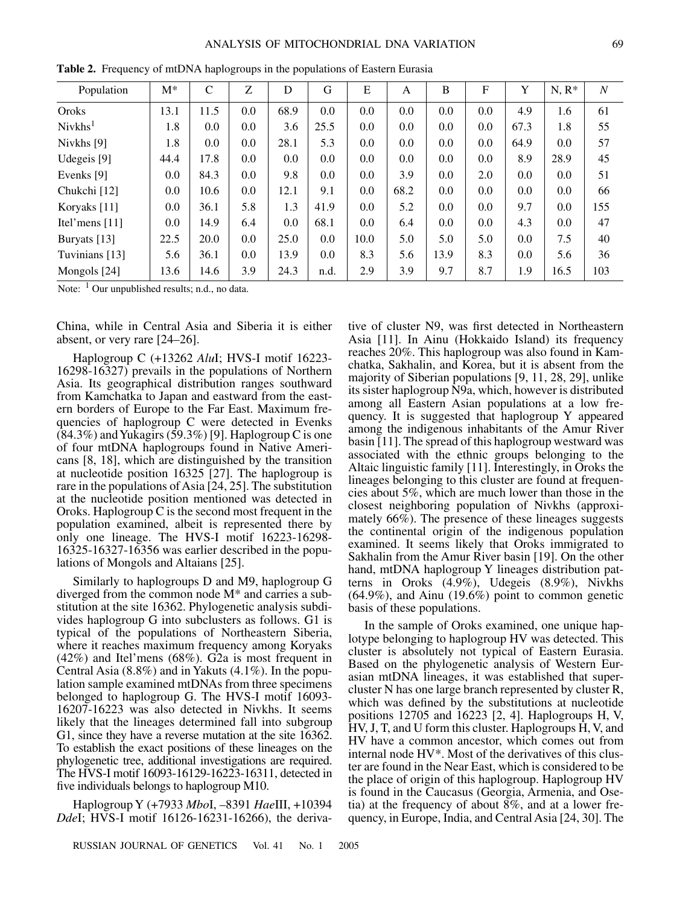| Population          | $M^*$ | $\mathsf{C}$ | Z   | D    | G    | E    | A    | B    | F   | Y    | $N, R^*$ | N   |
|---------------------|-------|--------------|-----|------|------|------|------|------|-----|------|----------|-----|
| Oroks               | 13.1  | 11.5         | 0.0 | 68.9 | 0.0  | 0.0  | 0.0  | 0.0  | 0.0 | 4.9  | 1.6      | 61  |
| Nivkhs <sup>1</sup> | 1.8   | 0.0          | 0.0 | 3.6  | 25.5 | 0.0  | 0.0  | 0.0  | 0.0 | 67.3 | 1.8      | 55  |
| Nivkhs [9]          | 1.8   | 0.0          | 0.0 | 28.1 | 5.3  | 0.0  | 0.0  | 0.0  | 0.0 | 64.9 | 0.0      | 57  |
| Udegeis [9]         | 44.4  | 17.8         | 0.0 | 0.0  | 0.0  | 0.0  | 0.0  | 0.0  | 0.0 | 8.9  | 28.9     | 45  |
| Evenks [9]          | 0.0   | 84.3         | 0.0 | 9.8  | 0.0  | 0.0  | 3.9  | 0.0  | 2.0 | 0.0  | 0.0      | 51  |
| Chukchi [12]        | 0.0   | 10.6         | 0.0 | 12.1 | 9.1  | 0.0  | 68.2 | 0.0  | 0.0 | 0.0  | 0.0      | 66  |
| Koryaks [11]        | 0.0   | 36.1         | 5.8 | 1.3  | 41.9 | 0.0  | 5.2  | 0.0  | 0.0 | 9.7  | 0.0      | 155 |
| Itel'mens $[11]$    | 0.0   | 14.9         | 6.4 | 0.0  | 68.1 | 0.0  | 6.4  | 0.0  | 0.0 | 4.3  | 0.0      | 47  |
| Buryats [13]        | 22.5  | 20.0         | 0.0 | 25.0 | 0.0  | 10.0 | 5.0  | 5.0  | 5.0 | 0.0  | 7.5      | 40  |
| Tuvinians [13]      | 5.6   | 36.1         | 0.0 | 13.9 | 0.0  | 8.3  | 5.6  | 13.9 | 8.3 | 0.0  | 5.6      | 36  |
| Mongols [24]        | 13.6  | 14.6         | 3.9 | 24.3 | n.d. | 2.9  | 3.9  | 9.7  | 8.7 | 1.9  | 16.5     | 103 |

**Table 2.** Frequency of mtDNA haplogroups in the populations of Eastern Eurasia

Note:  $<sup>1</sup>$  Our unpublished results; n.d., no data.</sup>

China, while in Central Asia and Siberia it is either absent, or very rare [24–26].

Haplogroup C (+13262 *Alu*I; HVS-I motif 16223- 16298-16327) prevails in the populations of Northern Asia. Its geographical distribution ranges southward from Kamchatka to Japan and eastward from the eastern borders of Europe to the Far East. Maximum frequencies of haplogroup C were detected in Evenks  $(84.3\%)$  and Yukagirs  $(59.3\%)$  [9]. Haplogroup C is one of four mtDNA haplogroups found in Native Americans [8, 18], which are distinguished by the transition at nucleotide position 16325 [27]. The haplogroup is rare in the populations of Asia [24, 25]. The substitution at the nucleotide position mentioned was detected in Oroks. Haplogroup C is the second most frequent in the population examined, albeit is represented there by only one lineage. The HVS-I motif 16223-16298- 16325-16327-16356 was earlier described in the populations of Mongols and Altaians [25].

Similarly to haplogroups D and M9, haplogroup G diverged from the common node M\* and carries a substitution at the site 16362. Phylogenetic analysis subdivides haplogroup G into subclusters as follows. G1 is typical of the populations of Northeastern Siberia, where it reaches maximum frequency among Koryaks (42%) and Itel'mens (68%). G2a is most frequent in Central Asia (8.8%) and in Yakuts (4.1%). In the population sample examined mtDNAs from three specimens belonged to haplogroup G. The HVS-I motif 16093- 16207-16223 was also detected in Nivkhs. It seems likely that the lineages determined fall into subgroup G1, since they have a reverse mutation at the site 16362. To establish the exact positions of these lineages on the phylogenetic tree, additional investigations are required. The HVS-I motif 16093-16129-16223-16311, detected in five individuals belongs to haplogroup M10.

Haplogroup Y (+7933 *Mbo*I, –8391 *Hae*III, +10394 *Dde*I; HVS-I motif 16126-16231-16266), the derivative of cluster N9, was first detected in Northeastern Asia [11]. In Ainu (Hokkaido Island) its frequency reaches 20%. This haplogroup was also found in Kamchatka, Sakhalin, and Korea, but it is absent from the majority of Siberian populations [9, 11, 28, 29], unlike its sister haplogroup N9a, which, however is distributed among all Eastern Asian populations at a low frequency. It is suggested that haplogroup Y appeared among the indigenous inhabitants of the Amur River basin [11]. The spread of this haplogroup westward was associated with the ethnic groups belonging to the Altaic linguistic family [11]. Interestingly, in Oroks the lineages belonging to this cluster are found at frequencies about 5%, which are much lower than those in the closest neighboring population of Nivkhs (approximately 66%). The presence of these lineages suggests the continental origin of the indigenous population examined. It seems likely that Oroks immigrated to Sakhalin from the Amur River basin [19]. On the other hand, mtDNA haplogroup Y lineages distribution patterns in Oroks (4.9%), Udegeis (8.9%), Nivkhs (64.9%), and Ainu (19.6%) point to common genetic basis of these populations.

In the sample of Oroks examined, one unique haplotype belonging to haplogroup HV was detected. This cluster is absolutely not typical of Eastern Eurasia. Based on the phylogenetic analysis of Western Eurasian mtDNA lineages, it was established that supercluster N has one large branch represented by cluster R, which was defined by the substitutions at nucleotide positions 12705 and 16223 [2, 4]. Haplogroups H, V, HV, J, T, and U form this cluster. Haplogroups H, V, and HV have a common ancestor, which comes out from internal node HV\*. Most of the derivatives of this cluster are found in the Near East, which is considered to be the place of origin of this haplogroup. Haplogroup HV is found in the Caucasus (Georgia, Armenia, and Osetia) at the frequency of about 8%, and at a lower frequency, in Europe, India, and Central Asia [24, 30]. The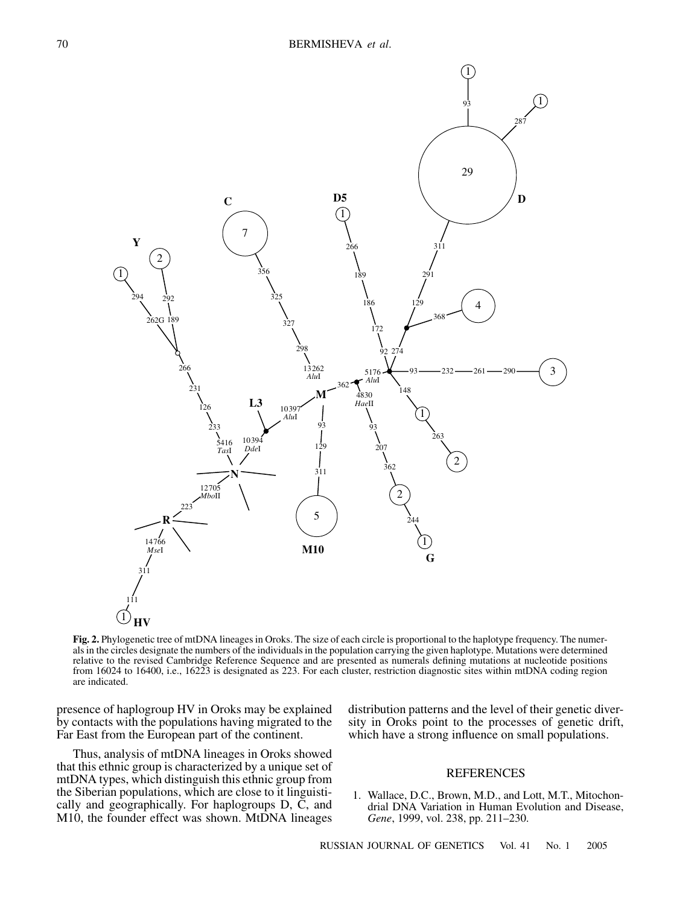

**Fig. 2.** Phylogenetic tree of mtDNA lineages in Oroks. The size of each circle is proportional to the haplotype frequency. The numerals in the circles designate the numbers of the individuals in the population carrying the given haplotype. Mutations were determined relative to the revised Cambridge Reference Sequence and are presented as numerals defining mutations at nucleotide positions from 16024 to 16400, i.e., 16223 is designated as 223. For each cluster, restriction diagnostic sites within mtDNA coding region are indicated.

presence of haplogroup HV in Oroks may be explained by contacts with the populations having migrated to the Far East from the European part of the continent.

Thus, analysis of mtDNA lineages in Oroks showed that this ethnic group is characterized by a unique set of mtDNA types, which distinguish this ethnic group from the Siberian populations, which are close to it linguistically and geographically. For haplogroups D, C, and M10, the founder effect was shown. MtDNA lineages distribution patterns and the level of their genetic diversity in Oroks point to the processes of genetic drift, which have a strong influence on small populations.

#### REFERENCES

1. Wallace, D.C., Brown, M.D., and Lott, M.T., Mitochondrial DNA Variation in Human Evolution and Disease, *Gene*, 1999, vol. 238, pp. 211–230.